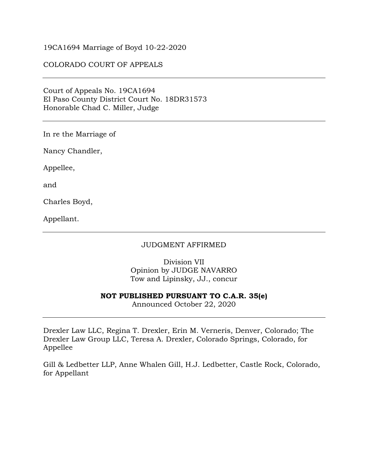#### 19CA1694 Marriage of Boyd 10-22-2020

### COLORADO COURT OF APPEALS

Court of Appeals No. 19CA1694 El Paso County District Court No. 18DR31573 Honorable Chad C. Miller, Judge

In re the Marriage of

Nancy Chandler,

Appellee,

and

Charles Boyd,

Appellant.

#### JUDGMENT AFFIRMED

Division VII Opinion by JUDGE NAVARRO Tow and Lipinsky, JJ., concur

#### **NOT PUBLISHED PURSUANT TO C.A.R. 35(e)**

Announced October 22, 2020

Drexler Law LLC, Regina T. Drexler, Erin M. Verneris, Denver, Colorado; The Drexler Law Group LLC, Teresa A. Drexler, Colorado Springs, Colorado, for Appellee

Gill & Ledbetter LLP, Anne Whalen Gill, H.J. Ledbetter, Castle Rock, Colorado, for Appellant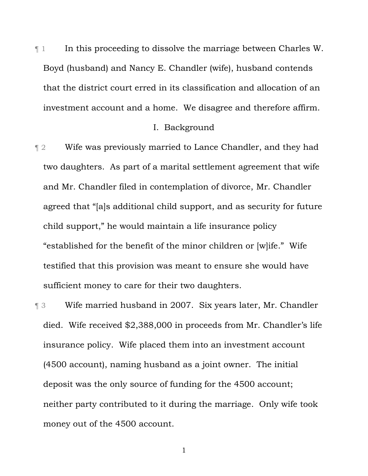¶ 1 In this proceeding to dissolve the marriage between Charles W. Boyd (husband) and Nancy E. Chandler (wife), husband contends that the district court erred in its classification and allocation of an investment account and a home. We disagree and therefore affirm.

## I. Background

**The 2** Wife was previously married to Lance Chandler, and they had two daughters. As part of a marital settlement agreement that wife and Mr. Chandler filed in contemplation of divorce, Mr. Chandler agreed that "[a]s additional child support, and as security for future child support," he would maintain a life insurance policy "established for the benefit of the minor children or [w]ife." Wife testified that this provision was meant to ensure she would have sufficient money to care for their two daughters.

¶ 3 Wife married husband in 2007. Six years later, Mr. Chandler died. Wife received \$2,388,000 in proceeds from Mr. Chandler's life insurance policy. Wife placed them into an investment account (4500 account), naming husband as a joint owner. The initial deposit was the only source of funding for the 4500 account; neither party contributed to it during the marriage. Only wife took money out of the 4500 account.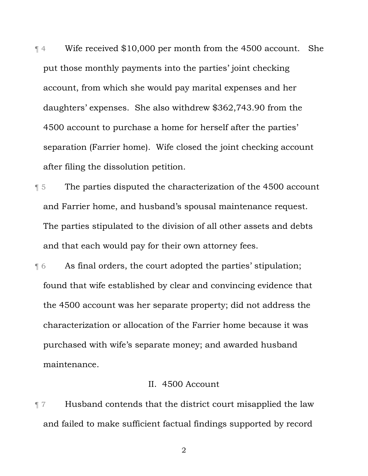¶ 4 Wife received \$10,000 per month from the 4500 account. She put those monthly payments into the parties' joint checking account, from which she would pay marital expenses and her daughters' expenses. She also withdrew \$362,743.90 from the 4500 account to purchase a home for herself after the parties' separation (Farrier home). Wife closed the joint checking account after filing the dissolution petition.

¶ 5 The parties disputed the characterization of the 4500 account and Farrier home, and husband's spousal maintenance request. The parties stipulated to the division of all other assets and debts and that each would pay for their own attorney fees.

¶ 6 As final orders, the court adopted the parties' stipulation; found that wife established by clear and convincing evidence that the 4500 account was her separate property; did not address the characterization or allocation of the Farrier home because it was purchased with wife's separate money; and awarded husband maintenance.

# II. 4500 Account

¶ 7 Husband contends that the district court misapplied the law and failed to make sufficient factual findings supported by record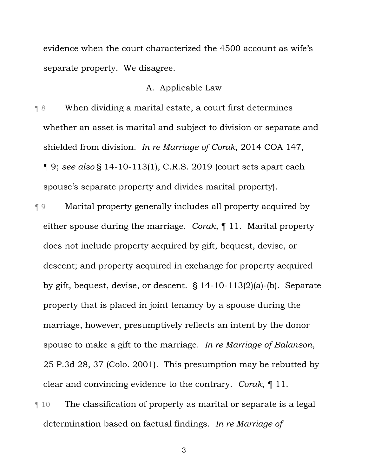evidence when the court characterized the 4500 account as wife's separate property. We disagree.

# A. Applicable Law

¶ 8 When dividing a marital estate, a court first determines whether an asset is marital and subject to division or separate and shielded from division. *In re Marriage of Corak*, 2014 COA 147, ¶ 9; *see also* § 14-10-113(1), C.R.S. 2019 (court sets apart each spouse's separate property and divides marital property).

- ¶ 9 Marital property generally includes all property acquired by either spouse during the marriage. *Corak*, ¶ 11. Marital property does not include property acquired by gift, bequest, devise, or descent; and property acquired in exchange for property acquired by gift, bequest, devise, or descent. § 14-10-113(2)(a)-(b). Separate property that is placed in joint tenancy by a spouse during the marriage, however, presumptively reflects an intent by the donor spouse to make a gift to the marriage. *In re Marriage of Balanson*, 25 P.3d 28, 37 (Colo. 2001). This presumption may be rebutted by clear and convincing evidence to the contrary. *Corak*, ¶ 11.
- ¶ 10 The classification of property as marital or separate is a legal determination based on factual findings. *In re Marriage of*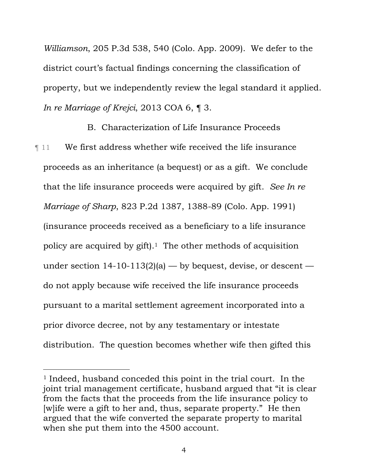*Williamson*, 205 P.3d 538, 540 (Colo. App. 2009). We defer to the district court's factual findings concerning the classification of property, but we independently review the legal standard it applied. *In re Marriage of Krejci*, 2013 COA 6, ¶ 3.

B. Characterization of Life Insurance Proceeds ¶ 11 We first address whether wife received the life insurance proceeds as an inheritance (a bequest) or as a gift. We conclude that the life insurance proceeds were acquired by gift. *See In re Marriage of Sharp*, 823 P.2d 1387, 1388-89 (Colo. App. 1991) (insurance proceeds received as a beneficiary to a life insurance policy are acquired by  $g$ ift).<sup>1</sup> The other methods of acquisition under section  $14-10-113(2)$ (a) — by bequest, devise, or descent do not apply because wife received the life insurance proceeds pursuant to a marital settlement agreement incorporated into a prior divorce decree, not by any testamentary or intestate distribution. The question becomes whether wife then gifted this

 $\overline{a}$ 

<sup>1</sup> Indeed, husband conceded this point in the trial court. In the joint trial management certificate, husband argued that "it is clear from the facts that the proceeds from the life insurance policy to [w]ife were a gift to her and, thus, separate property." He then argued that the wife converted the separate property to marital when she put them into the 4500 account.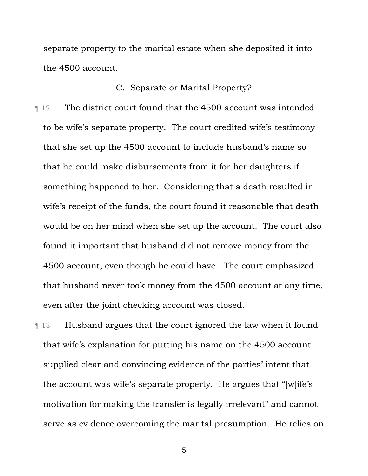separate property to the marital estate when she deposited it into the 4500 account.

## C. Separate or Marital Property?

¶ 12 The district court found that the 4500 account was intended to be wife's separate property. The court credited wife's testimony that she set up the 4500 account to include husband's name so that he could make disbursements from it for her daughters if something happened to her. Considering that a death resulted in wife's receipt of the funds, the court found it reasonable that death would be on her mind when she set up the account. The court also found it important that husband did not remove money from the 4500 account, even though he could have. The court emphasized that husband never took money from the 4500 account at any time, even after the joint checking account was closed.

¶ 13 Husband argues that the court ignored the law when it found that wife's explanation for putting his name on the 4500 account supplied clear and convincing evidence of the parties' intent that the account was wife's separate property. He argues that "[w]ife's motivation for making the transfer is legally irrelevant" and cannot serve as evidence overcoming the marital presumption. He relies on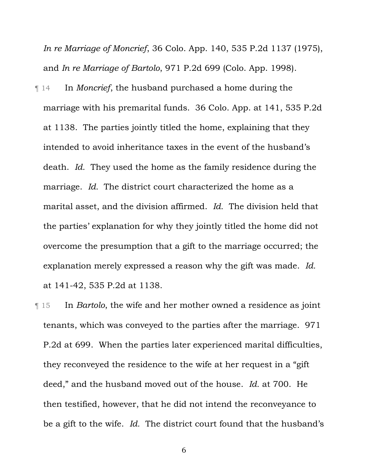*In re Marriage of Moncrief*, 36 Colo. App. 140, 535 P.2d 1137 (1975), and *In re Marriage of Bartolo*, 971 P.2d 699 (Colo. App. 1998).

¶ 14 In *Moncrief*, the husband purchased a home during the marriage with his premarital funds. 36 Colo. App. at 141, 535 P.2d at 1138. The parties jointly titled the home, explaining that they intended to avoid inheritance taxes in the event of the husband's death. *Id.* They used the home as the family residence during the marriage. *Id.* The district court characterized the home as a marital asset, and the division affirmed. *Id.* The division held that the parties' explanation for why they jointly titled the home did not overcome the presumption that a gift to the marriage occurred; the explanation merely expressed a reason why the gift was made. *Id.* at 141-42, 535 P.2d at 1138.

¶ 15 In *Bartolo*, the wife and her mother owned a residence as joint tenants, which was conveyed to the parties after the marriage. 971 P.2d at 699. When the parties later experienced marital difficulties, they reconveyed the residence to the wife at her request in a "gift deed," and the husband moved out of the house. *Id.* at 700. He then testified, however, that he did not intend the reconveyance to be a gift to the wife. *Id.* The district court found that the husband's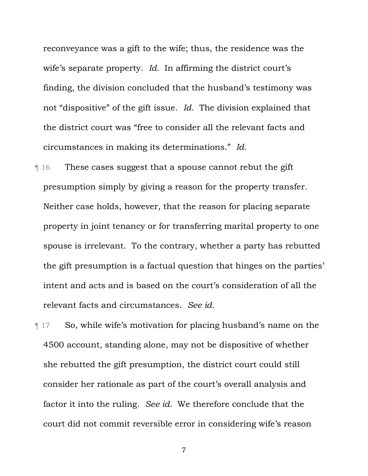reconveyance was a gift to the wife; thus, the residence was the wife's separate property. *Id.* In affirming the district court's finding, the division concluded that the husband's testimony was not "dispositive" of the gift issue. *Id.* The division explained that the district court was "free to consider all the relevant facts and circumstances in making its determinations." *Id.*

¶ 16 These cases suggest that a spouse cannot rebut the gift presumption simply by giving a reason for the property transfer. Neither case holds, however, that the reason for placing separate property in joint tenancy or for transferring marital property to one spouse is irrelevant. To the contrary, whether a party has rebutted the gift presumption is a factual question that hinges on the parties' intent and acts and is based on the court's consideration of all the relevant facts and circumstances. *See id.*

¶ 17 So, while wife's motivation for placing husband's name on the 4500 account, standing alone, may not be dispositive of whether she rebutted the gift presumption, the district court could still consider her rationale as part of the court's overall analysis and factor it into the ruling. *See id.* We therefore conclude that the court did not commit reversible error in considering wife's reason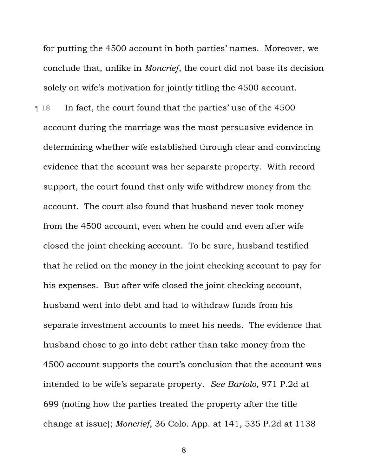for putting the 4500 account in both parties' names. Moreover, we conclude that, unlike in *Moncrief*, the court did not base its decision solely on wife's motivation for jointly titling the 4500 account.

¶ 18 In fact, the court found that the parties' use of the 4500 account during the marriage was the most persuasive evidence in determining whether wife established through clear and convincing evidence that the account was her separate property. With record support, the court found that only wife withdrew money from the account. The court also found that husband never took money from the 4500 account, even when he could and even after wife closed the joint checking account. To be sure, husband testified that he relied on the money in the joint checking account to pay for his expenses. But after wife closed the joint checking account, husband went into debt and had to withdraw funds from his separate investment accounts to meet his needs. The evidence that husband chose to go into debt rather than take money from the 4500 account supports the court's conclusion that the account was intended to be wife's separate property. *See Bartolo*, 971 P.2d at 699 (noting how the parties treated the property after the title change at issue); *Moncrief*, 36 Colo. App. at 141, 535 P.2d at 1138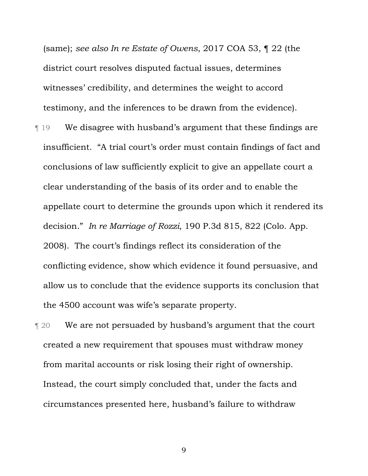(same); *see also In re Estate of Owens*, 2017 COA 53, ¶ 22 (the district court resolves disputed factual issues, determines witnesses' credibility, and determines the weight to accord testimony, and the inferences to be drawn from the evidence).

¶ 19 We disagree with husband's argument that these findings are insufficient. "A trial court's order must contain findings of fact and conclusions of law sufficiently explicit to give an appellate court a clear understanding of the basis of its order and to enable the appellate court to determine the grounds upon which it rendered its decision." *In re Marriage of Rozzi*, 190 P.3d 815, 822 (Colo. App. 2008). The court's findings reflect its consideration of the conflicting evidence, show which evidence it found persuasive, and allow us to conclude that the evidence supports its conclusion that the 4500 account was wife's separate property.

**T** 20 We are not persuaded by husband's argument that the court created a new requirement that spouses must withdraw money from marital accounts or risk losing their right of ownership. Instead, the court simply concluded that, under the facts and circumstances presented here, husband's failure to withdraw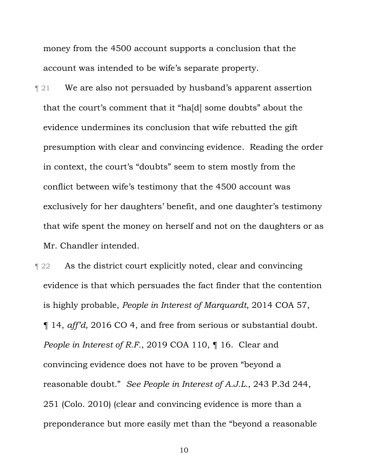money from the 4500 account supports a conclusion that the account was intended to be wife's separate property.

**Texture 121** We are also not persuaded by husband's apparent assertion that the court's comment that it "ha[d] some doubts" about the evidence undermines its conclusion that wife rebutted the gift presumption with clear and convincing evidence. Reading the order in context, the court's "doubts" seem to stem mostly from the conflict between wife's testimony that the 4500 account was exclusively for her daughters' benefit, and one daughter's testimony that wife spent the money on herself and not on the daughters or as Mr. Chandler intended.

¶ 22 As the district court explicitly noted, clear and convincing evidence is that which persuades the fact finder that the contention is highly probable, *People in Interest of Marquardt*, 2014 COA 57, ¶ 14, *aff'd,* 2016 CO 4, and free from serious or substantial doubt. *People in Interest of R.F.*, 2019 COA 110, ¶ 16. Clear and convincing evidence does not have to be proven "beyond a reasonable doubt." *See People in Interest of A.J.L.*, 243 P.3d 244, 251 (Colo. 2010) (clear and convincing evidence is more than a preponderance but more easily met than the "beyond a reasonable